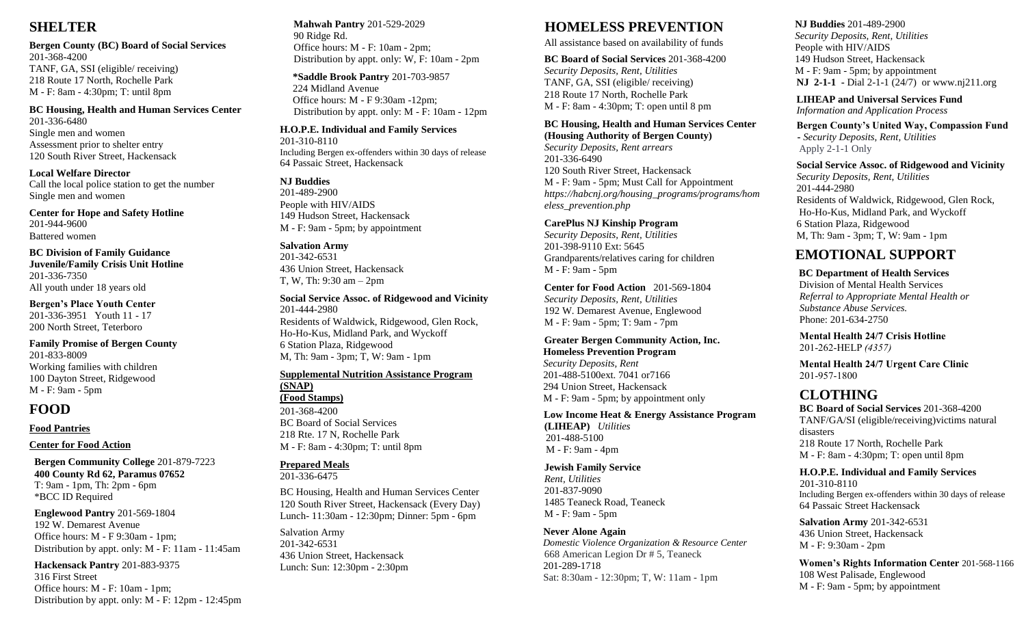# **SHELTER**

**Bergen County (BC) Board of Social Services** 201-368-4200 TANF, GA, SSI (eligible/ receiving) 218 Route 17 North, Rochelle Park M - F: 8am - 4:30pm; T: until 8pm

#### **BC Housing, Health and Human Services Center**

201-336-6480 Single men and women Assessment prior to shelter entry 120 South River Street, Hackensack

**Local Welfare Director** Call the local police station to get the number Single men and women

**Center for Hope and Safety Hotline**  201-944-9600 Battered women

**BC Division of Family Guidance Juvenile/Family Crisis Unit Hotline** 201-336-7350 All youth under 18 years old

**Bergen's Place Youth Center** 201-336-3951 Youth 11 - 17 200 North Street, Teterboro

#### **Family Promise of Bergen County** 201-833-8009

Working families with children 100 Dayton Street, Ridgewood M - F: 9am - 5pm

# **FOOD**

## **Food Pantries**

## **Center for Food Action**

 **Bergen Community College** 201-879-7223  **400 County Rd 62, Paramus 07652** T: 9am - 1pm, Th: 2pm - 6pm \*BCC ID Required

 **Englewood Pantry** 201-569-1804 192 W. Demarest Avenue Office hours: M - F 9:30am - 1pm; Distribution by appt. only: M - F: 11am - 11:45am

**Hackensack Pantry** 201-883-9375 316 First Street Office hours: M - F: 10am - 1pm; Distribution by appt. only: M - F: 12pm - 12:45pm **Mahwah Pantry** 201-529-2029 90 Ridge Rd. Office hours: M - F: 10am - 2pm; Distribution by appt. only: W, F: 10am - 2pm

 **\*Saddle Brook Pantry** 201-703-9857 224 Midland Avenue Office hours: M - F 9:30am -12pm; Distribution by appt. only: M - F: 10am - 12pm

**H.O.P.E. Individual and Family Services** 201-310-8110 Including Bergen ex-offenders within 30 days of release 64 Passaic Street, Hackensack

**NJ Buddies** 201-489-2900 People with HIV/AIDS

149 Hudson Street, Hackensack M - F: 9am - 5pm; by appointment

**Salvation Army** 201-342-6531 436 Union Street, Hackensack T, W, Th: 9:30 am – 2pm

**Social Service Assoc. of Ridgewood and Vicinity** 201-444-2980 Residents of Waldwick, Ridgewood, Glen Rock, Ho-Ho-Kus, Midland Park, and Wyckoff 6 Station Plaza, Ridgewood M, Th: 9am - 3pm; T, W: 9am - 1pm

## **Supplemental Nutrition Assistance Program (SNAP)**

**(Food Stamps)** 201-368-4200 BC Board of Social Services 218 Rte. 17 N, Rochelle Park M - F: 8am - 4:30pm; T: until 8pm

# **Prepared Meals**

201-336-6475

BC Housing, Health and Human Services Center 120 South River Street, Hackensack (Every Day) Lunch- 11:30am - 12:30pm; Dinner: 5pm - 6pm

Salvation Army 201-342-6531 436 Union Street, Hackensack Lunch: Sun: 12:30pm - 2:30pm

# **HOMELESS PREVENTION**

All assistance based on availability of funds

#### **BC Board of Social Services** 201-368-4200 *Security Deposits, Rent, Utilities* TANF, GA, SSI (eligible/ receiving) 218 Route 17 North, Rochelle Park M - F: 8am - 4:30pm; T: open until 8 pm

#### **BC Housing, Health and Human Services Center (Housing Authority of Bergen County)**

*Security Deposits, Rent arrears* 201-336-6490 120 South River Street, Hackensack M - F: 9am - 5pm; Must Call for Appointment *[https://habcnj.org/housing\\_programs/programs/hom](https://habcnj.org/housing_programs/programs/homeless_prevention.php) [eless\\_prevention.php](https://habcnj.org/housing_programs/programs/homeless_prevention.php)*

## **CarePlus NJ Kinship Program**

*Security Deposits, Rent, Utilities* 201-398-9110 Ext: 5645 Grandparents/relatives caring for children M - F: 9am - 5pm

**Center for Food Action** 201-569-1804 *Security Deposits, Rent, Utilities* 192 W. Demarest Avenue, Englewood M - F: 9am - 5pm; T: 9am - 7pm

# **Greater Bergen Community Action, Inc. Homeless Prevention Program**  *Security Deposits, Rent*

 201-488-5100ext. 7041 or7166 294 Union Street, Hackensack M - F: 9am - 5pm; by appointment only

#### **Low Income Heat & Energy Assistance Program (LIHEAP)** *Utilities* 201-488-5100

M - F: 9am - 4pm

## **Jewish Family Service**

*Rent, Utilities* 201-837-9090 1485 Teaneck Road, Teaneck M - F: 9am - 5pm

## **Never Alone Again**

 *Domestic Violence Organization & Resource Center* 668 American Legion Dr # 5, Teaneck 201-289-1718 Sat: 8:30am - 12:30pm; T, W: 11am - 1pm

## **NJ Buddies** 201-489-2900

*Security Deposits, Rent, Utilities* People with HIV/AIDS 149 Hudson Street, Hackensack M - F: 9am - 5pm; by appointment  **NJ 2-1-1 -** Dial 2-1-1 (24/7) or [www.nj211.org](http://www.nj211.org/)

**LIHEAP and Universal Services Fund**   *Information and Application Process* 

 **Bergen County's United Way, Compassion Fund -** *Security Deposits, Rent, Utilities* Apply 2-1-1 Only

 **Social Service Assoc. of Ridgewood and Vicinity**  *Security Deposits, Rent, Utilities* 201-444-2980 Residents of Waldwick, Ridgewood, Glen Rock, Ho-Ho-Kus, Midland Park, and Wyckoff 6 Station Plaza, Ridgewood M, Th: 9am - 3pm; T, W: 9am - 1pm

# **EMOTIONAL SUPPORT**

## **BC Department of Health Services**

 Division of Mental Health Services  *Referral to Appropriate Mental Health or Substance Abuse Services.* Phone: 201-634-2750

**Mental Health 24/7 Crisis Hotline** 201-262-HELP *(4357)*

**Mental Health 24/7 Urgent Care Clinic** 201-957-1800

# **CLOTHING**

**BC Board of Social Services** 201-368-4200 TANF/GA/SI (eligible/receiving)victims natural disasters 218 Route 17 North, Rochelle Park M - F: 8am - 4:30pm; T: open until 8pm

#### **H.O.P.E. Individual and Family Services** 201-310-8110

 Including Bergen ex-offenders within 30 days of release 64 Passaic Street Hackensack

**Salvation Army** 201-342-6531 436 Union Street, Hackensack M - F: 9:30am - 2pm

 **Women's Rights Information Center** 201-568-1166 108 West Palisade, Englewood M - F: 9am - 5pm; by appointment